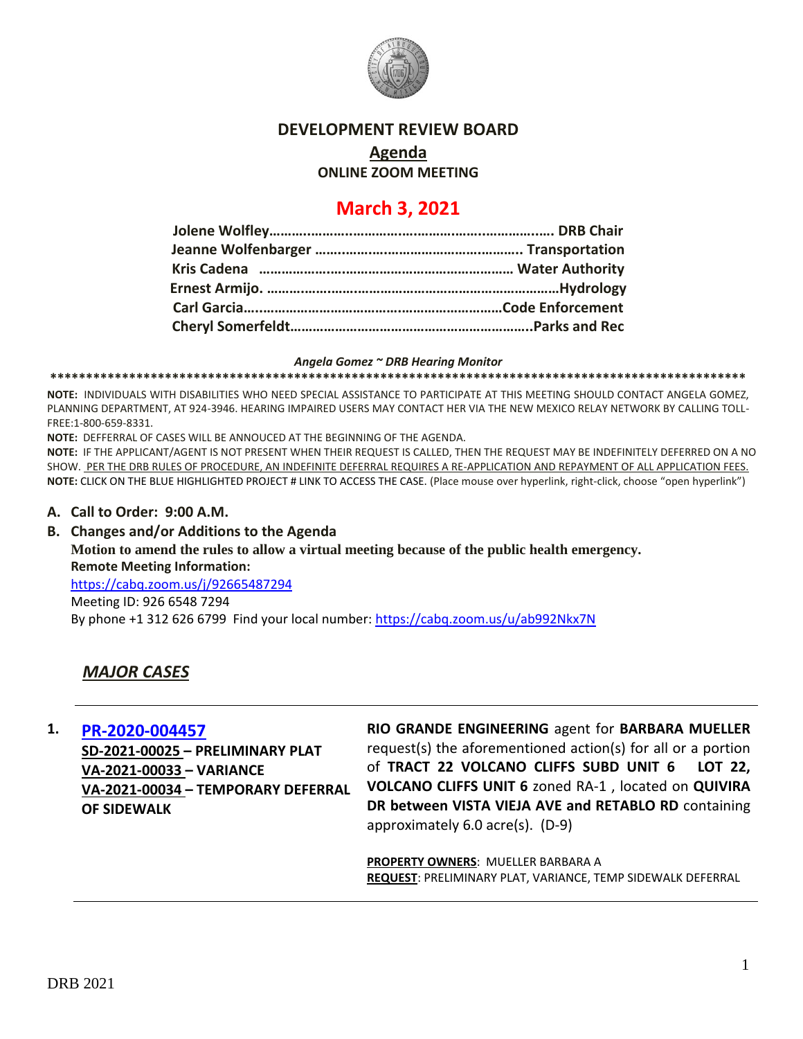

### **DEVELOPMENT REVIEW BOARD**

## **Agenda**

**ONLINE ZOOM MEETING**

# **March 3, 2021**

#### *Angela Gomez ~ DRB Hearing Monitor*

**\*\*\*\*\*\*\*\*\*\*\*\*\*\*\*\*\*\*\*\*\*\*\*\*\*\*\*\*\*\*\*\*\*\*\*\*\*\*\*\*\*\*\*\*\*\*\*\*\*\*\*\*\*\*\*\*\*\*\*\*\*\*\*\*\*\*\*\*\*\*\*\*\*\*\*\*\*\*\*\*\*\*\*\*\*\*\*\*\*\*\*\*\*\*\*\*\***

**NOTE:** INDIVIDUALS WITH DISABILITIES WHO NEED SPECIAL ASSISTANCE TO PARTICIPATE AT THIS MEETING SHOULD CONTACT ANGELA GOMEZ, PLANNING DEPARTMENT, AT 924-3946. HEARING IMPAIRED USERS MAY CONTACT HER VIA THE NEW MEXICO RELAY NETWORK BY CALLING TOLL-FREE:1-800-659-8331.

**NOTE:** DEFFERRAL OF CASES WILL BE ANNOUCED AT THE BEGINNING OF THE AGENDA.

**NOTE:** IF THE APPLICANT/AGENT IS NOT PRESENT WHEN THEIR REQUEST IS CALLED, THEN THE REQUEST MAY BE INDEFINITELY DEFERRED ON A NO SHOW. PER THE DRB RULES OF PROCEDURE, AN INDEFINITE DEFERRAL REQUIRES A RE-APPLICATION AND REPAYMENT OF ALL APPLICATION FEES. **NOTE:** CLICK ON THE BLUE HIGHLIGHTED PROJECT # LINK TO ACCESS THE CASE. (Place mouse over hyperlink, right-click, choose "open hyperlink")

#### **A. Call to Order: 9:00 A.M.**

**B. Changes and/or Additions to the Agenda Motion to amend the rules to allow a virtual meeting because of the public health emergency. Remote Meeting Information:** <https://cabq.zoom.us/j/92665487294> Meeting ID: 926 6548 7294 By phone +1 312 626 6799 Find your local number:<https://cabq.zoom.us/u/ab992Nkx7N>

## *MAJOR CASES*

**1. [PR-2020-004457](http://data.cabq.gov/government/planning/DRB/PR-2021-005047/DRB%20Submittals/PR-2021-005047_Mar_03_2021/Application/)**

**SD-2021-00025 – PRELIMINARY PLAT VA-2021-00033 – VARIANCE VA-2021-00034 – TEMPORARY DEFERRAL OF SIDEWALK**

**RIO GRANDE ENGINEERING** agent for **BARBARA MUELLER** request(s) the aforementioned action(s) for all or a portion of **TRACT 22 VOLCANO CLIFFS SUBD UNIT 6 LOT 22, VOLCANO CLIFFS UNIT 6** zoned RA-1 , located on **QUIVIRA DR between VISTA VIEJA AVE and RETABLO RD** containing approximately 6.0 acre(s). (D-9)

**PROPERTY OWNERS**: MUELLER BARBARA A **REQUEST**: PRELIMINARY PLAT, VARIANCE, TEMP SIDEWALK DEFERRAL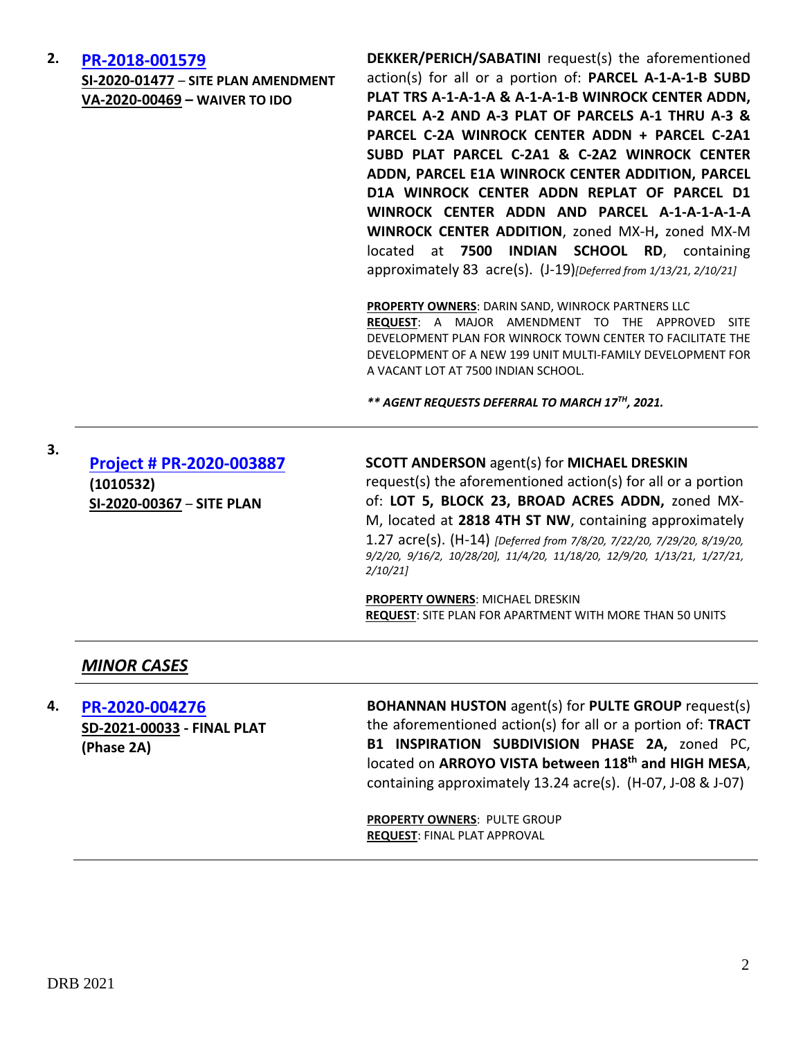#### **2. [PR-2018-001579](http://data.cabq.gov/government/planning/DRB/PR-2018-001579/DRB%20Submittals/)**

**SI-2020-01477** – **SITE PLAN AMENDMENT VA-2020-00469 – WAIVER TO IDO**

**DEKKER/PERICH/SABATINI** request(s) the aforementioned action(s) for all or a portion of: **PARCEL A-1-A-1-B SUBD PLAT TRS A-1-A-1-A & A-1-A-1-B WINROCK CENTER ADDN, PARCEL A-2 AND A-3 PLAT OF PARCELS A-1 THRU A-3 & PARCEL C-2A WINROCK CENTER ADDN + PARCEL C-2A1 SUBD PLAT PARCEL C-2A1 & C-2A2 WINROCK CENTER ADDN, PARCEL E1A WINROCK CENTER ADDITION, PARCEL D1A WINROCK CENTER ADDN REPLAT OF PARCEL D1 WINROCK CENTER ADDN AND PARCEL A-1-A-1-A-1-A WINROCK CENTER ADDITION**, zoned MX-H**,** zoned MX-M located at **7500 INDIAN SCHOOL RD**, containing approximately 83 acre(s). (J-19)*[Deferred from 1/13/21, 2/10/21]*

**PROPERTY OWNERS**: DARIN SAND, WINROCK PARTNERS LLC **REQUEST**: A MAJOR AMENDMENT TO THE APPROVED SITE DEVELOPMENT PLAN FOR WINROCK TOWN CENTER TO FACILITATE THE DEVELOPMENT OF A NEW 199 UNIT MULTI-FAMILY DEVELOPMENT FOR A VACANT LOT AT 7500 INDIAN SCHOOL.

*\*\* AGENT REQUESTS DEFERRAL TO MARCH 17TH, 2021.*

| 3. | Project # PR-2020-003887<br>(1010532)<br>SI-2020-00367 - SITE PLAN | <b>SCOTT ANDERSON agent(s) for MICHAEL DRESKIN</b><br>request(s) the aforementioned action(s) for all or a portion<br>of: LOT 5, BLOCK 23, BROAD ACRES ADDN, zoned MX-<br>M, located at 2818 4TH ST NW, containing approximately<br>1.27 acre(s). (H-14) [Deferred from 7/8/20, 7/22/20, 7/29/20, 8/19/20,<br>9/2/20, 9/16/2, 10/28/20], 11/4/20, 11/18/20, 12/9/20, 1/13/21, 1/27/21,<br>2/10/21 |
|----|--------------------------------------------------------------------|---------------------------------------------------------------------------------------------------------------------------------------------------------------------------------------------------------------------------------------------------------------------------------------------------------------------------------------------------------------------------------------------------|
|    |                                                                    | <b>PROPERTY OWNERS: MICHAEL DRESKIN</b><br><b>REQUEST: SITE PLAN FOR APARTMENT WITH MORE THAN 50 UNITS</b>                                                                                                                                                                                                                                                                                        |
|    | <b>MINOR CASES</b>                                                 |                                                                                                                                                                                                                                                                                                                                                                                                   |

**4. [PR-2020-004276](http://data.cabq.gov/government/planning/DRB/PR-2018-001759/DRB%20Submittals/PR-2018-001759_MARCH_3_2021/Application/PHASE%202A/Phase%202A%20Final%20Plat%20Package.pdf) SD-2021-00033 - FINAL PLAT (Phase 2A)**

**BOHANNAN HUSTON** agent(s) for **PULTE GROUP** request(s) the aforementioned action(s) for all or a portion of: **TRACT B1 INSPIRATION SUBDIVISION PHASE 2A,** zoned PC, located on **ARROYO VISTA between 118th and HIGH MESA**, containing approximately 13.24 acre(s). (H-07, J-08 & J-07)

**PROPERTY OWNERS**: PULTE GROUP **REQUEST**: FINAL PLAT APPROVAL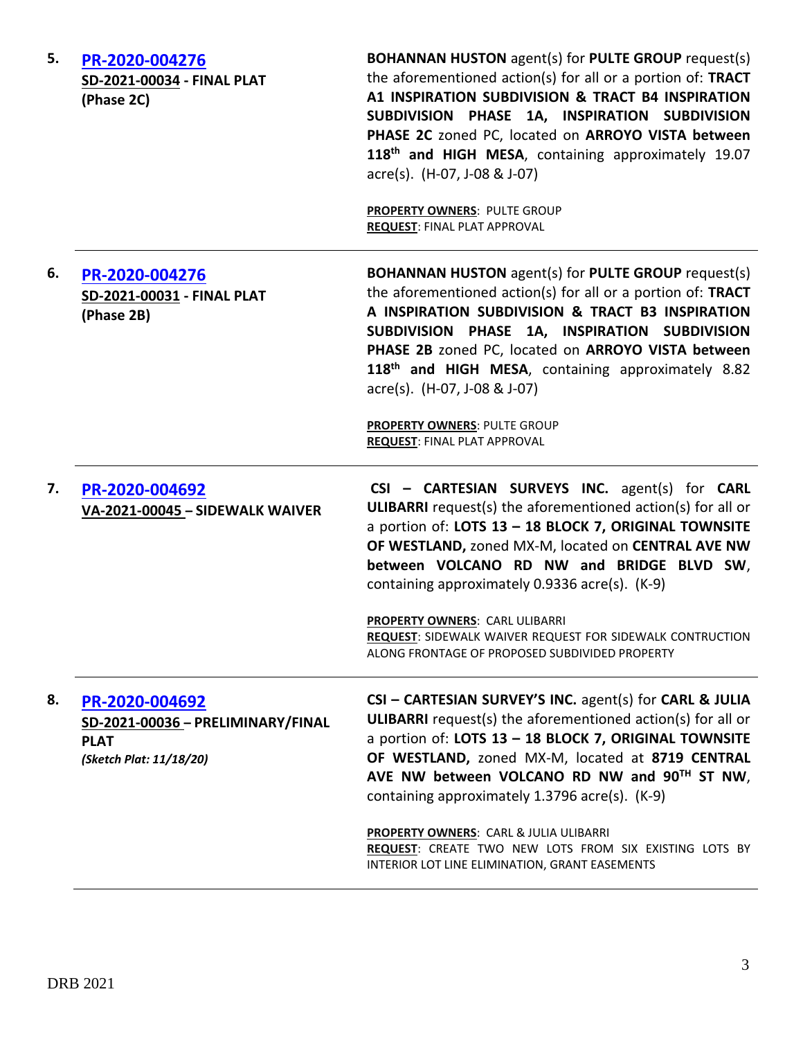| 5. | PR-2020-004276<br>SD-2021-00034 - FINAL PLAT<br>(Phase 2C)                                    | <b>BOHANNAN HUSTON</b> agent(s) for PULTE GROUP request(s)<br>the aforementioned action(s) for all or a portion of: TRACT<br>A1 INSPIRATION SUBDIVISION & TRACT B4 INSPIRATION<br>SUBDIVISION PHASE 1A, INSPIRATION SUBDIVISION<br>PHASE 2C zoned PC, located on ARROYO VISTA between<br>118th and HIGH MESA, containing approximately 19.07<br>acre(s). (H-07, J-08 & J-07)<br><b>PROPERTY OWNERS: PULTE GROUP</b><br><b>REQUEST: FINAL PLAT APPROVAL</b> |
|----|-----------------------------------------------------------------------------------------------|------------------------------------------------------------------------------------------------------------------------------------------------------------------------------------------------------------------------------------------------------------------------------------------------------------------------------------------------------------------------------------------------------------------------------------------------------------|
| 6. | PR-2020-004276<br>SD-2021-00031 - FINAL PLAT<br>(Phase 2B)                                    | <b>BOHANNAN HUSTON</b> agent(s) for PULTE GROUP request(s)<br>the aforementioned action(s) for all or a portion of: TRACT<br>A INSPIRATION SUBDIVISION & TRACT B3 INSPIRATION<br>SUBDIVISION PHASE 1A, INSPIRATION SUBDIVISION<br>PHASE 2B zoned PC, located on ARROYO VISTA between<br>118th and HIGH MESA, containing approximately 8.82<br>acre(s). (H-07, J-08 & J-07)                                                                                 |
|    |                                                                                               | PROPERTY OWNERS: PULTE GROUP<br><b>REQUEST: FINAL PLAT APPROVAL</b>                                                                                                                                                                                                                                                                                                                                                                                        |
| 7. | PR-2020-004692<br>VA-2021-00045 - SIDEWALK WAIVER                                             | CSI - CARTESIAN SURVEYS INC. agent(s) for CARL<br><b>ULIBARRI</b> request(s) the aforementioned action(s) for all or<br>a portion of: LOTS 13 - 18 BLOCK 7, ORIGINAL TOWNSITE<br>OF WESTLAND, zoned MX-M, located on CENTRAL AVE NW<br>between VOLCANO RD NW and BRIDGE BLVD SW,<br>containing approximately 0.9336 acre(s). (K-9)                                                                                                                         |
|    |                                                                                               | PROPERTY OWNERS: CARL ULIBARRI<br><b>REQUEST: SIDEWALK WAIVER REQUEST FOR SIDEWALK CONTRUCTION</b><br>ALONG FRONTAGE OF PROPOSED SUBDIVIDED PROPERTY                                                                                                                                                                                                                                                                                                       |
| 8. | PR-2020-004692<br>SD-2021-00036 - PRELIMINARY/FINAL<br><b>PLAT</b><br>(Sketch Plat: 11/18/20) | CSI - CARTESIAN SURVEY'S INC. agent(s) for CARL & JULIA<br><b>ULIBARRI</b> request(s) the aforementioned action(s) for all or<br>a portion of: LOTS 13 - 18 BLOCK 7, ORIGINAL TOWNSITE<br>OF WESTLAND, zoned MX-M, located at 8719 CENTRAL<br>AVE NW between VOLCANO RD NW and 90TH ST NW,                                                                                                                                                                 |
|    |                                                                                               | containing approximately 1.3796 acre(s). (K-9)                                                                                                                                                                                                                                                                                                                                                                                                             |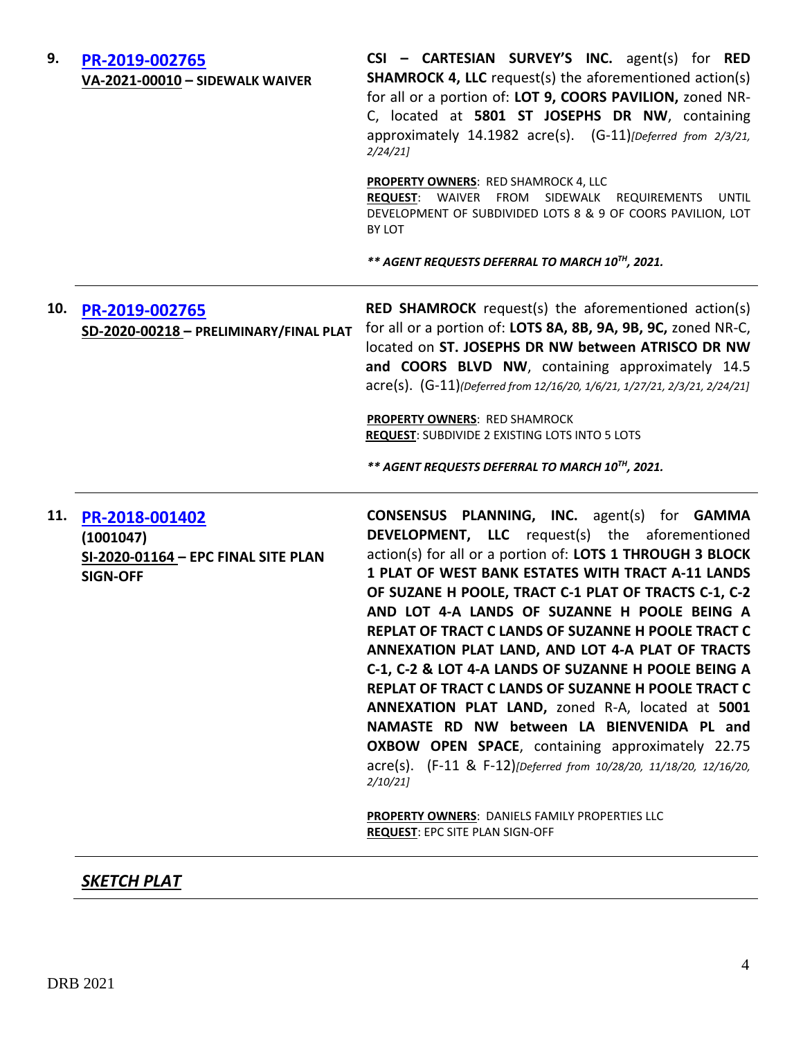| PR-2019-002765                                                                        | <b>PROPERTY OWNERS: RED SHAMROCK 4, LLC</b><br>REQUEST: WAIVER FROM SIDEWALK REQUIREMENTS<br>UNTIL<br>DEVELOPMENT OF SUBDIVIDED LOTS 8 & 9 OF COORS PAVILION, LOT<br>BY LOT<br>** AGENT REQUESTS DEFERRAL TO MARCH 10TH, 2021.                                                                                                                                                                                                                                                                                                                                                                                                                                                                                                                                                                                                                                                                                       |
|---------------------------------------------------------------------------------------|----------------------------------------------------------------------------------------------------------------------------------------------------------------------------------------------------------------------------------------------------------------------------------------------------------------------------------------------------------------------------------------------------------------------------------------------------------------------------------------------------------------------------------------------------------------------------------------------------------------------------------------------------------------------------------------------------------------------------------------------------------------------------------------------------------------------------------------------------------------------------------------------------------------------|
|                                                                                       |                                                                                                                                                                                                                                                                                                                                                                                                                                                                                                                                                                                                                                                                                                                                                                                                                                                                                                                      |
|                                                                                       | <b>RED SHAMROCK</b> request(s) the aforementioned action(s)<br>for all or a portion of: LOTS 8A, 8B, 9A, 9B, 9C, zoned NR-C,<br>located on ST. JOSEPHS DR NW between ATRISCO DR NW<br>and COORS BLVD NW, containing approximately 14.5<br>acre(s). (G-11)(Deferred from 12/16/20, 1/6/21, 1/27/21, 2/3/21, 2/24/21]                                                                                                                                                                                                                                                                                                                                                                                                                                                                                                                                                                                                  |
|                                                                                       | <b>PROPERTY OWNERS: RED SHAMROCK</b><br><b>REQUEST: SUBDIVIDE 2 EXISTING LOTS INTO 5 LOTS</b><br>** AGENT REQUESTS DEFERRAL TO MARCH 10TH, 2021.                                                                                                                                                                                                                                                                                                                                                                                                                                                                                                                                                                                                                                                                                                                                                                     |
| PR-2018-001402<br>(1001047)<br>SI-2020-01164 - EPC FINAL SITE PLAN<br><b>SIGN-OFF</b> | <b>CONSENSUS PLANNING, INC.</b> agent(s) for <b>GAMMA</b><br><b>DEVELOPMENT, LLC</b> request(s) the aforementioned<br>action(s) for all or a portion of: LOTS 1 THROUGH 3 BLOCK<br>1 PLAT OF WEST BANK ESTATES WITH TRACT A-11 LANDS<br>OF SUZANE H POOLE, TRACT C-1 PLAT OF TRACTS C-1, C-2<br>AND LOT 4-A LANDS OF SUZANNE H POOLE BEING A<br>REPLAT OF TRACT C LANDS OF SUZANNE H POOLE TRACT C<br>ANNEXATION PLAT LAND, AND LOT 4-A PLAT OF TRACTS<br>C-1, C-2 & LOT 4-A LANDS OF SUZANNE H POOLE BEING A<br>REPLAT OF TRACT C LANDS OF SUZANNE H POOLE TRACT C<br>ANNEXATION PLAT LAND, zoned R-A, located at 5001<br>NAMASTE RD NW between LA BIENVENIDA PL and<br><b>OXBOW OPEN SPACE, containing approximately 22.75</b><br>acre(s). (F-11 & F-12)[Deferred from 10/28/20, 11/18/20, 12/16/20,<br>2/10/21<br><b>PROPERTY OWNERS: DANIELS FAMILY PROPERTIES LLC</b><br><b>REQUEST: EPC SITE PLAN SIGN-OFF</b> |
|                                                                                       | SD-2020-00218 - PRELIMINARY/FINAL PLAT                                                                                                                                                                                                                                                                                                                                                                                                                                                                                                                                                                                                                                                                                                                                                                                                                                                                               |

*SKETCH PLAT*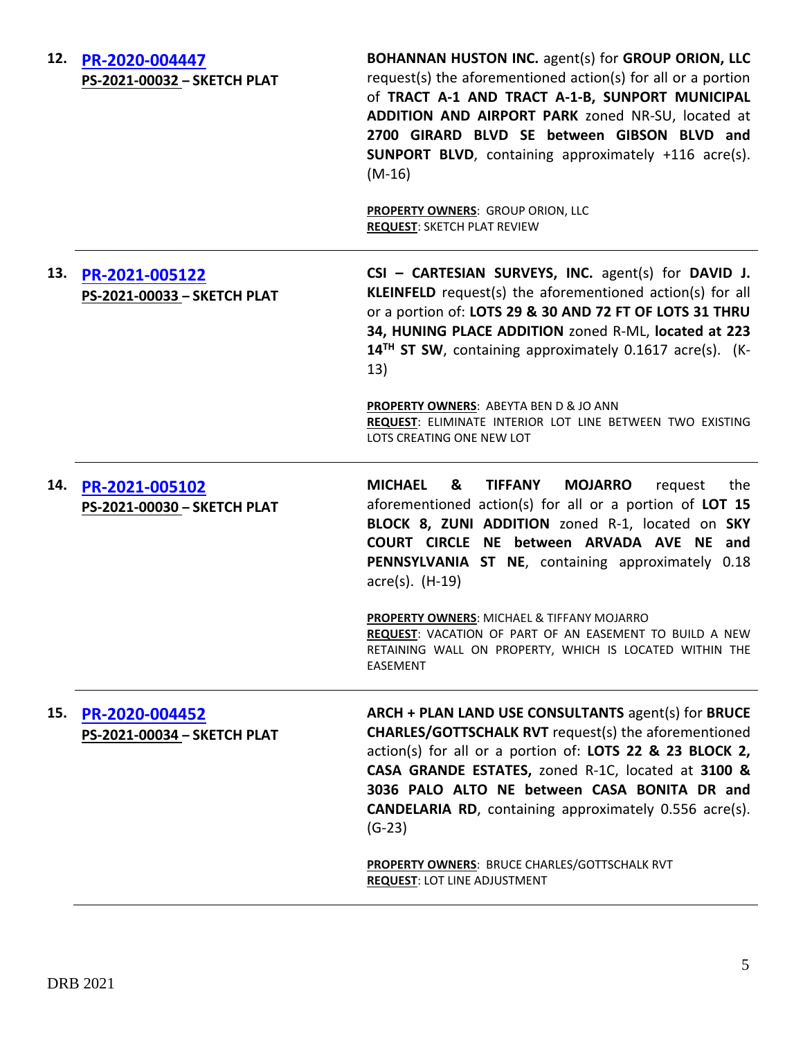| 12. | PR-2020-004447<br>PS-2021-00032 - SKETCH PLAT | <b>BOHANNAN HUSTON INC. agent(s) for GROUP ORION, LLC</b><br>request(s) the aforementioned action(s) for all or a portion<br>of TRACT A-1 AND TRACT A-1-B, SUNPORT MUNICIPAL<br>ADDITION AND AIRPORT PARK zoned NR-SU, located at<br>2700 GIRARD BLVD SE between GIBSON BLVD and<br><b>SUNPORT BLVD</b> , containing approximately +116 acre(s).<br>$(M-16)$<br>PROPERTY OWNERS: GROUP ORION, LLC<br><b>REQUEST: SKETCH PLAT REVIEW</b> |
|-----|-----------------------------------------------|-----------------------------------------------------------------------------------------------------------------------------------------------------------------------------------------------------------------------------------------------------------------------------------------------------------------------------------------------------------------------------------------------------------------------------------------|
| 13. | PR-2021-005122<br>PS-2021-00033 - SKETCH PLAT | CSI - CARTESIAN SURVEYS, INC. agent(s) for DAVID J.<br>KLEINFELD request(s) the aforementioned action(s) for all<br>or a portion of: LOTS 29 & 30 AND 72 FT OF LOTS 31 THRU<br>34, HUNING PLACE ADDITION zoned R-ML, located at 223<br>$14TH$ ST SW, containing approximately 0.1617 acre(s). (K-<br>13)                                                                                                                                |
|     |                                               | <b>PROPERTY OWNERS: ABEYTA BEN D &amp; JO ANN</b><br>REQUEST: ELIMINATE INTERIOR LOT LINE BETWEEN TWO EXISTING<br>LOTS CREATING ONE NEW LOT                                                                                                                                                                                                                                                                                             |
| 14. | PR-2021-005102<br>PS-2021-00030 - SKETCH PLAT | <b>MICHAEL</b><br><b>TIFFANY</b><br><b>MOJARRO</b><br>&<br>request<br>the<br>aforementioned action(s) for all or a portion of LOT 15<br>BLOCK 8, ZUNI ADDITION zoned R-1, located on SKY<br>COURT CIRCLE NE between ARVADA AVE NE and<br>PENNSYLVANIA ST NE, containing approximately 0.18<br>$\arccos(5)$ . (H-19)                                                                                                                     |
|     |                                               | PROPERTY OWNERS: MICHAEL & TIFFANY MOJARRO<br>REQUEST: VACATION OF PART OF AN EASEMENT TO BUILD A NEW<br>RETAINING WALL ON PROPERTY, WHICH IS LOCATED WITHIN THE<br>EASEMENT                                                                                                                                                                                                                                                            |
| 15. | PR-2020-004452<br>PS-2021-00034 - SKETCH PLAT | ARCH + PLAN LAND USE CONSULTANTS agent(s) for BRUCE<br><b>CHARLES/GOTTSCHALK RVT</b> request(s) the aforementioned<br>action(s) for all or a portion of: LOTS 22 & 23 BLOCK 2,<br>CASA GRANDE ESTATES, zoned R-1C, located at 3100 &<br>3036 PALO ALTO NE between CASA BONITA DR and<br><b>CANDELARIA RD</b> , containing approximately 0.556 acre(s).<br>$(G-23)$                                                                      |
|     |                                               | <b>PROPERTY OWNERS: BRUCE CHARLES/GOTTSCHALK RVT</b><br><b>REQUEST: LOT LINE ADJUSTMENT</b>                                                                                                                                                                                                                                                                                                                                             |